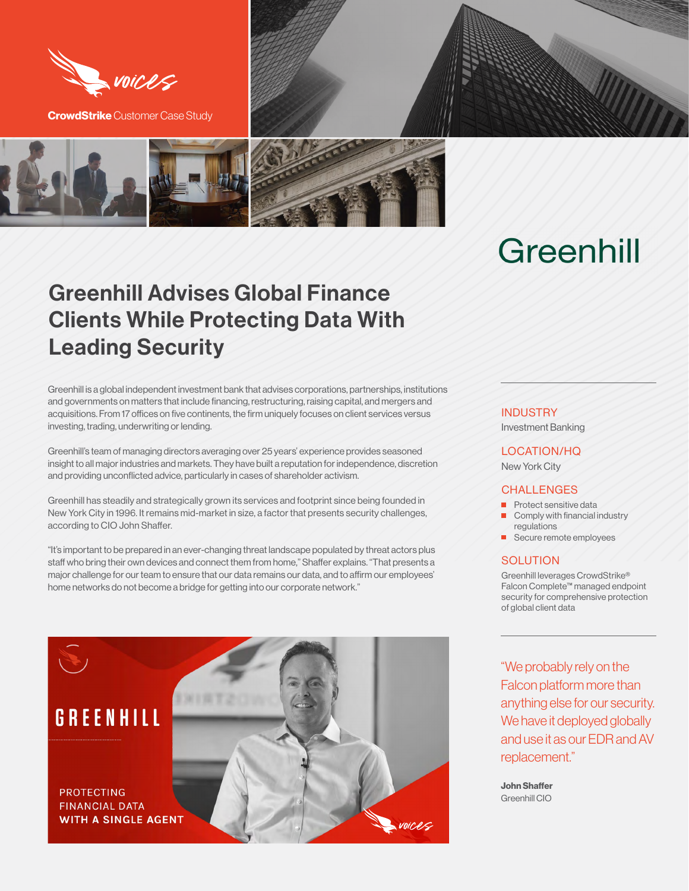

**CrowdStrike** Customer Case Study



# Greenhill

## Greenhill Advises Global Finance Clients While Protecting Data With Leading Security

Greenhill is a global independent investment bank that advises corporations, partnerships, institutions and governments on matters that include financing, restructuring, raising capital, and mergers and acquisitions. From 17 offices on five continents, the firm uniquely focuses on client services versus investing, trading, underwriting or lending.

Greenhill's team of managing directors averaging over 25 years' experience provides seasoned insight to all major industries and markets. They have built a reputation for independence, discretion and providing unconflicted advice, particularly in cases of shareholder activism.

Greenhill has steadily and strategically grown its services and footprint since being founded in New York City in 1996. It remains mid-market in size, a factor that presents security challenges, according to CIO John Shaffer.

"It's important to be prepared in an ever-changing threat landscape populated by threat actors plus staff who bring their own devices and connect them from home," Shaffer explains. "That presents a major challenge for our team to ensure that our data remains our data, and to affirm our employees' home networks do not become a bridge for getting into our corporate network."



### **INDUSTRY**

Investment Banking

#### LOCATION/HQ

New York City

### CHALLENGES

- **Protect sensitive data** Comply with financial industry
- regulations
- Secure remote employees

#### **SOLUTION**

Greenhill leverages CrowdStrike® Falcon Complete™ managed endpoint security for comprehensive protection of global client data

"We probably rely on the Falcon platform more than anything else for our security. We have it deployed globally and use it as our EDR and AV replacement."

**John Shaffer**  Greenhill CIO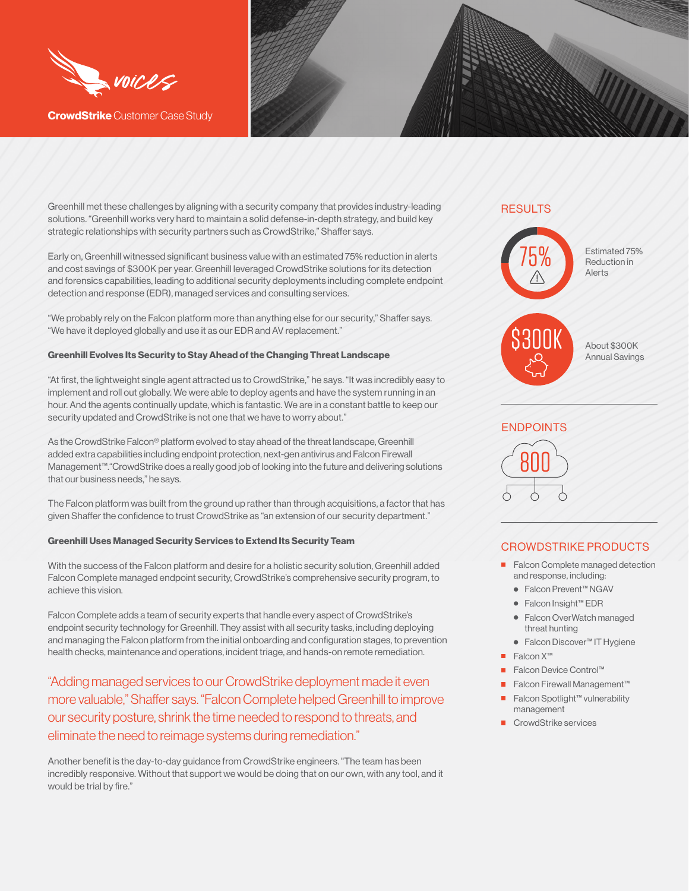

**CrowdStrike** Customer Case Study

Greenhill met these challenges by aligning with a security company that provides industry-leading solutions. "Greenhill works very hard to maintain a solid defense-in-depth strategy, and build key strategic relationships with security partners such as CrowdStrike," Shaffer says.

Early on, Greenhill witnessed significant business value with an estimated 75% reduction in alerts and cost savings of \$300K per year. Greenhill leveraged CrowdStrike solutions for its detection and forensics capabilities, leading to additional security deployments including complete endpoint detection and response (EDR), managed services and consulting services.

"We probably rely on the Falcon platform more than anything else for our security," Shaffer says. "We have it deployed globally and use it as our EDR and AV replacement."

#### **Greenhill Evolves Its Security to Stay Ahead of the Changing Threat Landscape**

"At first, the lightweight single agent attracted us to CrowdStrike," he says. "It was incredibly easy to implement and roll out globally. We were able to deploy agents and have the system running in an hour. And the agents continually update, which is fantastic. We are in a constant battle to keep our security updated and CrowdStrike is not one that we have to worry about."

As the CrowdStrike Falcon® platform evolved to stay ahead of the threat landscape, Greenhill added extra capabilities including endpoint protection, next-gen antivirus and Falcon Firewall Management™."CrowdStrike does a really good job of looking into the future and delivering solutions that our business needs," he says.

The Falcon platform was built from the ground up rather than through acquisitions, a factor that has given Shaffer the confidence to trust CrowdStrike as "an extension of our security department."

#### **Greenhill Uses Managed Security Services to Extend Its Security Team**

With the success of the Falcon platform and desire for a holistic security solution, Greenhill added Falcon Complete managed endpoint security, CrowdStrike's comprehensive security program, to achieve this vision.

Falcon Complete adds a team of security experts that handle every aspect of CrowdStrike's endpoint security technology for Greenhill. They assist with all security tasks, including deploying and managing the Falcon platform from the initial onboarding and configuration stages, to prevention health checks, maintenance and operations, incident triage, and hands-on remote remediation.

"Adding managed services to our CrowdStrike deployment made it even more valuable," Shaffer says. "Falcon Complete helped Greenhill to improve our security posture, shrink the time needed to respond to threats, and eliminate the need to reimage systems during remediation."

Another benefit is the day-to-day guidance from CrowdStrike engineers. "The team has been incredibly responsive. Without that support we would be doing that on our own, with any tool, and it would be trial by fire."

## **RESULTS**



## ENDPOINTS 800

## CROWDSTRIKE PRODUCTS

- Falcon Complete managed detection and response, including:
	- Falcon Prevent™ NGAV
	- Falcon Insight™ EDR
	- Falcon OverWatch managed threat hunting
	- Falcon Discover™ IT Hygiene
- Falcon X™
- Falcon Device Control™
- Falcon Firewall Management<sup>™</sup>
- Falcon Spotlight™ vulnerability management
- CrowdStrike services